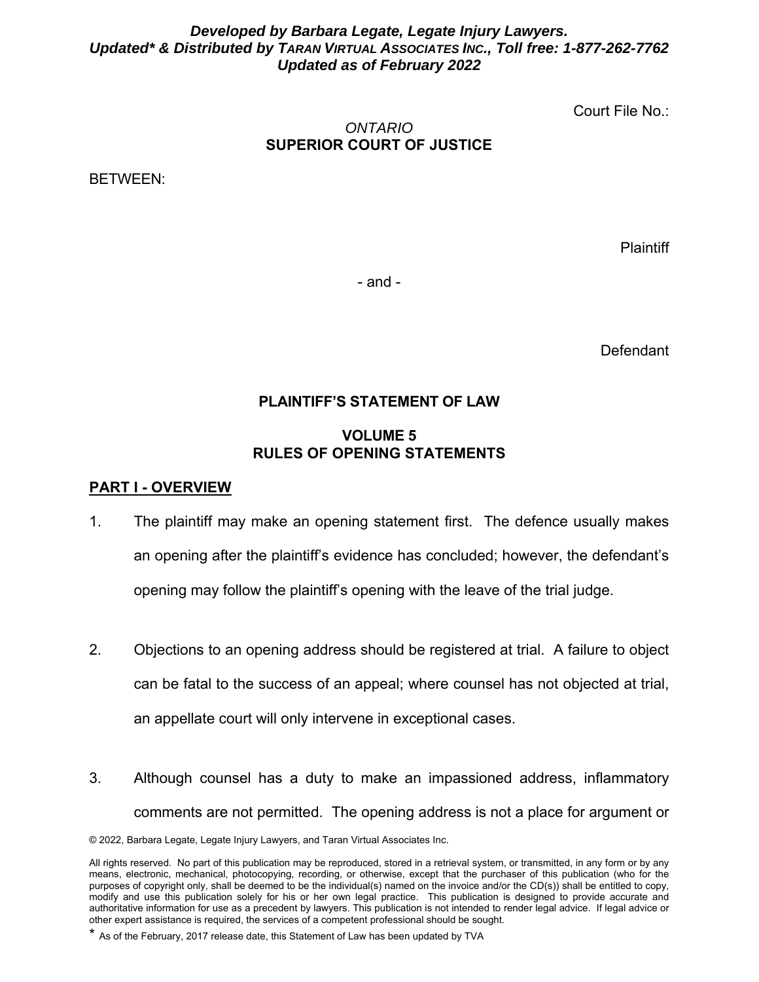### *Developed by Barbara Legate, Legate Injury Lawyers. Updated\* & Distributed by TARAN VIRTUAL ASSOCIATES INC., Toll free: 1-877-262-7762 Updated as of February 2022*

Court File No.:

### *ONTARIO*  **SUPERIOR COURT OF JUSTICE**

BETWEEN:

**Plaintiff** 

- and -

Defendant

# **PLAINTIFF'S STATEMENT OF LAW**

## **VOLUME 5 RULES OF OPENING STATEMENTS**

#### **PART I - OVERVIEW**

- 1. The plaintiff may make an opening statement first. The defence usually makes an opening after the plaintiff's evidence has concluded; however, the defendant's opening may follow the plaintiff's opening with the leave of the trial judge.
- 2. Objections to an opening address should be registered at trial. A failure to object can be fatal to the success of an appeal; where counsel has not objected at trial, an appellate court will only intervene in exceptional cases.
- 3. Although counsel has a duty to make an impassioned address, inflammatory comments are not permitted. The opening address is not a place for argument or

<sup>© 2022,</sup> Barbara Legate, Legate Injury Lawyers, and Taran Virtual Associates Inc.

All rights reserved. No part of this publication may be reproduced, stored in a retrieval system, or transmitted, in any form or by any means, electronic, mechanical, photocopying, recording, or otherwise, except that the purchaser of this publication (who for the purposes of copyright only, shall be deemed to be the individual(s) named on the invoice and/or the CD(s)) shall be entitled to copy, modify and use this publication solely for his or her own legal practice. This publication is designed to provide accurate and authoritative information for use as a precedent by lawyers. This publication is not intended to render legal advice. If legal advice or other expert assistance is required, the services of a competent professional should be sought.

<sup>\*</sup> As of the February, 2017 release date, this Statement of Law has been updated by TVA